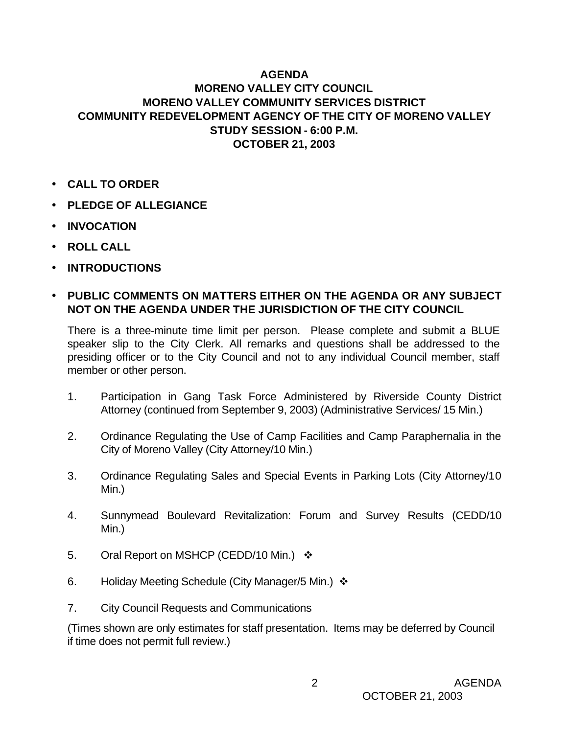## **AGENDA MORENO VALLEY CITY COUNCIL MORENO VALLEY COMMUNITY SERVICES DISTRICT COMMUNITY REDEVELOPMENT AGENCY OF THE CITY OF MORENO VALLEY STUDY SESSION - 6:00 P.M. OCTOBER 21, 2003**

- **CALL TO ORDER**
- **PLEDGE OF ALLEGIANCE**
- **INVOCATION**
- **ROLL CALL**
- **INTRODUCTIONS**

## • **PUBLIC COMMENTS ON MATTERS EITHER ON THE AGENDA OR ANY SUBJECT NOT ON THE AGENDA UNDER THE JURISDICTION OF THE CITY COUNCIL**

There is a three-minute time limit per person. Please complete and submit a BLUE speaker slip to the City Clerk. All remarks and questions shall be addressed to the presiding officer or to the City Council and not to any individual Council member, staff member or other person.

- 1. Participation in Gang Task Force Administered by Riverside County District Attorney (continued from September 9, 2003) (Administrative Services/ 15 Min.)
- 2. Ordinance Regulating the Use of Camp Facilities and Camp Paraphernalia in the City of Moreno Valley (City Attorney/10 Min.)
- 3. Ordinance Regulating Sales and Special Events in Parking Lots (City Attorney/10 Min.)
- 4. Sunnymead Boulevard Revitalization: Forum and Survey Results (CEDD/10 Min.)
- 5. Oral Report on MSHCP (CEDD/10 Min.)  $\cdot$
- 6. Holiday Meeting Schedule (City Manager/5 Min.)v
- 7. City Council Requests and Communications

(Times shown are only estimates for staff presentation. Items may be deferred by Council if time does not permit full review.)